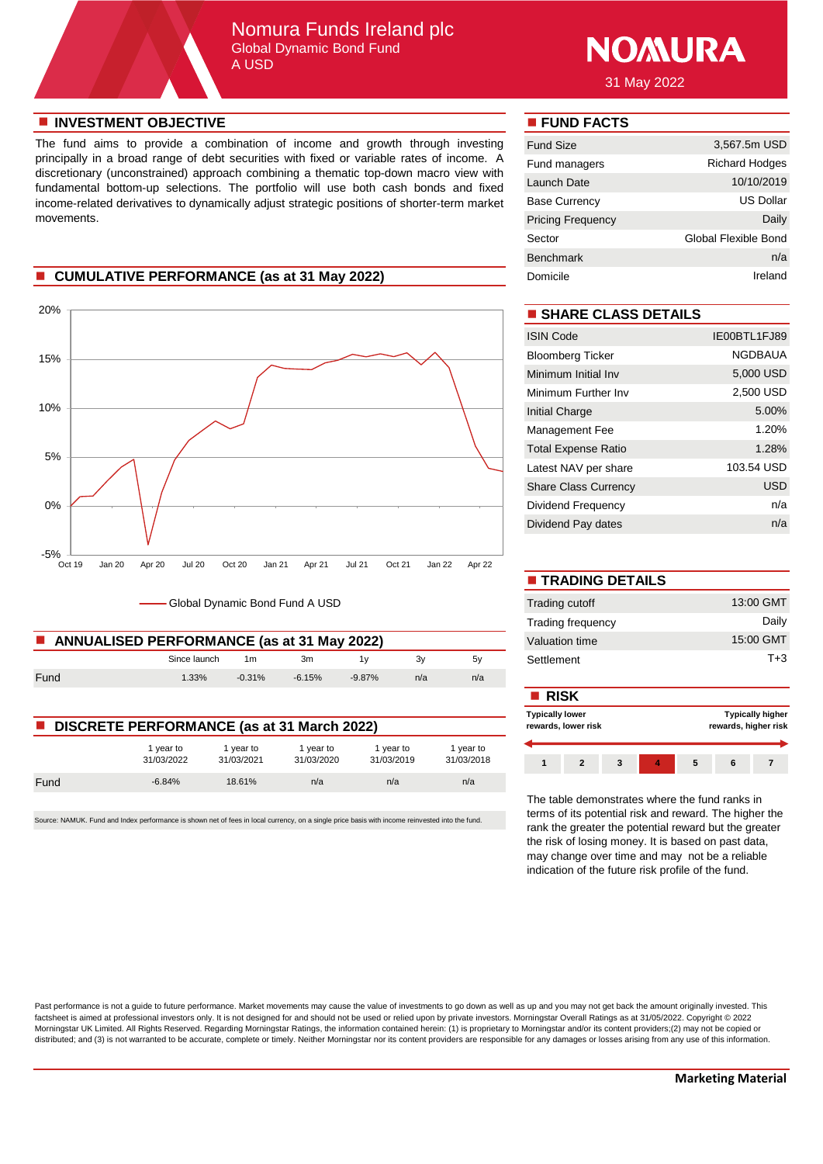## Nomura Funds Ireland plc Global Dynamic Bond Fund A USD



31 May 2022

### **n** INVESTMENT OBJECTIVE **n FUND FACTS**

The fund aims to provide a combination of income and growth through investing principally in a broad range of debt securities with fixed or variable rates of income. A discretionary (unconstrained) approach combining a thematic top-down macro view with fundamental bottom-up selections. The portfolio will use both cash bonds and fixed income-related derivatives to dynamically adjust strategic positions of shorter-term market movements.

# **n** CUMULATIVE PERFORMANCE (as at 31 May 2022)



Global Dynamic Bond Fund A USD

| ANNUALISED PERFORMANCE (as at 31 May 2022) | Valuation time |           |           |           |     |     |            |
|--------------------------------------------|----------------|-----------|-----------|-----------|-----|-----|------------|
|                                            | Since launch   | 1m        | 3m        |           |     | 5v  | Settlement |
| Fund                                       | $1.33\%$       | $-0.31\%$ | $-6.15\%$ | $-9.87\%$ | n/a | n/a |            |

| <b>DISCRETE PERFORMANCE (as at 31 March 2022)</b> |                         |                         |                         |                         |                         |  |  |
|---------------------------------------------------|-------------------------|-------------------------|-------------------------|-------------------------|-------------------------|--|--|
|                                                   | 1 year to<br>31/03/2022 | 1 year to<br>31/03/2021 | 1 year to<br>31/03/2020 | 1 year to<br>31/03/2019 | 1 year to<br>31/03/2018 |  |  |
| Fund                                              | $-6.84%$                | 18.61%                  | n/a                     | n/a                     | n/a                     |  |  |

Source: NAMUK. Fund and Index performance is shown net of fees in local currency, on a single price basis with income reinvested into the fund.

| <b>Fund Size</b>         | 3,567.5m USD          |
|--------------------------|-----------------------|
| Fund managers            | <b>Richard Hodges</b> |
| Launch Date              | 10/10/2019            |
| <b>Base Currency</b>     | US Dollar             |
| <b>Pricing Frequency</b> | Daily                 |
| Sector                   | Global Flexible Bond  |
| <b>Benchmark</b>         | n/a                   |
| Domicile                 | Ireland               |

# $\blacksquare$  **SHARE CLASS DETAILS**

| <b>ISIN Code</b>            | IE00BTL1FJ89   |
|-----------------------------|----------------|
| <b>Bloomberg Ticker</b>     | <b>NGDBAUA</b> |
| Minimum Initial Inv         | 5,000 USD      |
| Minimum Further Inv         | 2,500 USD      |
| <b>Initial Charge</b>       | 5.00%          |
| <b>Management Fee</b>       | 1.20%          |
| <b>Total Expense Ratio</b>  | 1.28%          |
| Latest NAV per share        | 103.54 USD     |
| <b>Share Class Currency</b> | USD            |
| Dividend Frequency          | n/a            |
| Dividend Pay dates          | n/a            |

| <b>TRADING DETAILS</b>   |           |
|--------------------------|-----------|
| Trading cutoff           | 13:00 GMT |
| <b>Trading frequency</b> | Daily     |
| Valuation time           | 15:00 GMT |
| Settlement               | $T + 3$   |

|                                                   |                       |                       |                       |                         |                                               | $\blacksquare$ RISK |  |  |                                                 |  |  |  |
|---------------------------------------------------|-----------------------|-----------------------|-----------------------|-------------------------|-----------------------------------------------|---------------------|--|--|-------------------------------------------------|--|--|--|
| <b>DISCRETE PERFORMANCE (as at 31 March 2022)</b> |                       |                       |                       |                         | <b>Typically lower</b><br>rewards, lower risk |                     |  |  | <b>Typically higher</b><br>rewards, higher risk |  |  |  |
|                                                   | vear to<br>31/03/2022 | vear to<br>31/03/2021 | vear to<br>31/03/2020 | l vear to<br>31/03/2019 | I vear to<br>31/03/2018                       |                     |  |  |                                                 |  |  |  |
| $\mathbf{r}$ and $\mathbf{r}$                     | 0.0101                | AOCAO                 | $-1$                  | $-1$                    | $-1$                                          |                     |  |  |                                                 |  |  |  |

The table demonstrates where the fund ranks in terms of its potential risk and reward. The higher the rank the greater the potential reward but the greater the risk of losing money. It is based on past data, may change over time and may not be a reliable indication of the future risk profile of the fund.

Past performance is not a guide to future performance. Market movements may cause the value of investments to go down as well as up and you may not get back the amount originally invested. This factsheet is aimed at professional investors only. It is not designed for and should not be used or relied upon by private investors. Morningstar Overall Ratings as at 31/05/2022. Copyright © 2022 Morningstar UK Limited. All Rights Reserved. Regarding Morningstar Ratings, the information contained herein: (1) is proprietary to Morningstar and/or its content providers;(2) may not be copied or distributed; and (3) is not warranted to be accurate, complete or timely. Neither Morningstar nor its content providers are responsible for any damages or losses arising from any use of this information.